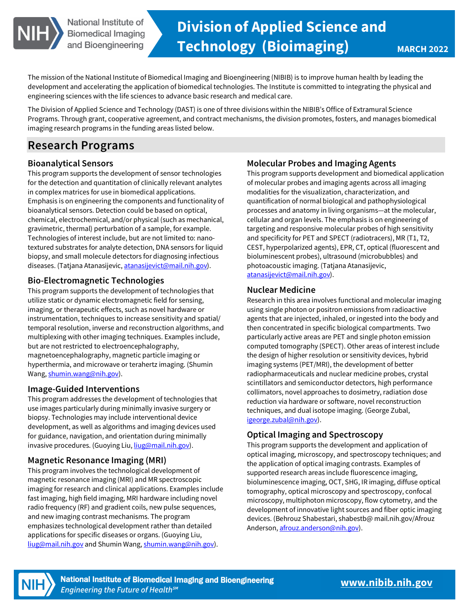

The mission of the National Institute of Biomedical Imaging and Bioengineering (NIBIB) is to improve human health by leading the development and accelerating the application of biomedical technologies. The Institute is committed to integrating the physical and engineering sciences with the life sciences to advance basic research and medical care.

The Division of Applied Science and Technology (DAST) is one of three divisions within the NIBIB's Office of Extramural Science Programs. Through grant, cooperative agreement, and contract mechanisms, the division promotes, fosters, and manages biomedical imaging research programs in the funding areas listed below.

# **Research Programs**

## **Bioanalytical Sensors**

This program supports the development of sensor technologies for the detection and quantitation of clinically relevant analytes in complex matrices for use in biomedical applications. Emphasis is on engineering the components and functionality of bioanalytical sensors. Detection could be based on optical, chemical, electrochemical, and/or physical (such as mechanical, gravimetric, thermal) perturbation of a sample, for example. Technologies of interest include, but are not limited to: nanotextured substrates for analyte detection, DNA sensors for liquid biopsy, and small molecule detectors for diagnosing infectious diseases. (Tatjana Atanasijevic[, atanasijevict@mail.nih.gov\)](mailto:atanasijevict@mail.nih.gov).

## **Bio-Electromagnetic Technologies**

This program supports the development of technologies that utilize static or dynamic electromagnetic field for sensing, imaging, or therapeutic effects, such as novel hardware or instrumentation, techniques to increase sensitivity and spatial/ temporal resolution, inverse and reconstruction algorithms, and multiplexing with other imaging techniques. Examples include, but are not restricted to electroencephalography, magnetoencephalography, magnetic particle imaging or hyperthermia, and microwave or terahertz imaging. (Shumin Wang[, shumin.wang@nih.gov\)](mailto:shumin.wang@nih.gov).

## **Image-Guided Interventions**

This program addresses the development of technologies that use images particularly during minimally invasive surgery or biopsy. Technologies may include interventional device development, as well as algorithms and imaging devices used for guidance, navigation, and orientation during minimally invasive procedures. (Guoying Liu[, liug@mail.nih.gov\)](mailto:liug@mail.nih.gov).

## **Magnetic Resonance Imaging (MRI)**

This program involves the technological development of magnetic resonance imaging (MRI) and MR spectroscopic imaging for research and clinical applications. Examples include fast imaging, high field imaging, MRI hardware including novel radio frequency (RF) and gradient coils, new pulse sequences, and new imaging contrast mechanisms. The program emphasizes technological development rather than detailed applications for specific diseases or organs. (Guoying Liu, [liug@mail.nih.gov a](mailto:liug@mail.nih.gov)nd Shumin Wang[, shumin.wang@nih.gov\)](mailto:shumin.wang@nih.gov).

## **Molecular Probes and Imaging Agents**

This program supports development and biomedical application of molecular probes and imaging agents across all imaging modalities for the visualization, characterization, and quantification of normal biological and pathophysiological processes and anatomy in living organisms—at the molecular, cellular and organ levels. The emphasis is on engineering of targeting and responsive molecular probes of high sensitivity and specificity for PET and SPECT (radiotracers), MR (T1, T2, CEST, hyperpolarized agents), EPR, CT, optical (fluorescent and bioluminescent probes), ultrasound (microbubbles) and photoacoustic imaging. (Tatjana Atanasijevic, [atanasijevict@mail.nih.gov\)](mailto:atanasijevict@mail.nih.gov).

#### **Nuclear Medicine**

Research in this area involves functional and molecular imaging using single photon or positron emissions from radioactive agents that are injected, inhaled, or ingested into the body and then concentrated in specific biological compartments. Two particularly active areas are PET and single photon emission computed tomography (SPECT). Other areas of interest include the design of higher resolution or sensitivity devices, hybrid imaging systems (PET/MRI), the development of better radiopharmaceuticals and nuclear medicine probes, crystal scintillators and semiconductor detectors, high performance collimators, novel approaches to dosimetry, radiation dose reduction via hardware or software, novel reconstruction techniques, and dual isotope imaging. (George Zubal, [igeorge.zubal@nih.gov\)](mailto:igeorge.zubal@nih.gov).

## **Optical Imaging and Spectroscopy**

This program supports the development and application of optical imaging, microscopy, and spectroscopy techniques; and the application of optical imaging contrasts. Examples of supported research areas include fluorescence imaging, bioluminescence imaging, OCT, SHG, IR imaging, diffuse optical tomography, optical microscopy and spectroscopy, confocal microscopy, multiphoton microscopy, flow cytometry, and the development of innovative light sources and fiber optic imaging devices. (Behrouz Shabestari, shabestb@ [mail.nih.gov/Afrouz](https://mail.nih.gov/Afrouz)  Anderson[, afrouz.anderson@nih.gov\)](mailto:afrouz.anderson@nih.gov).